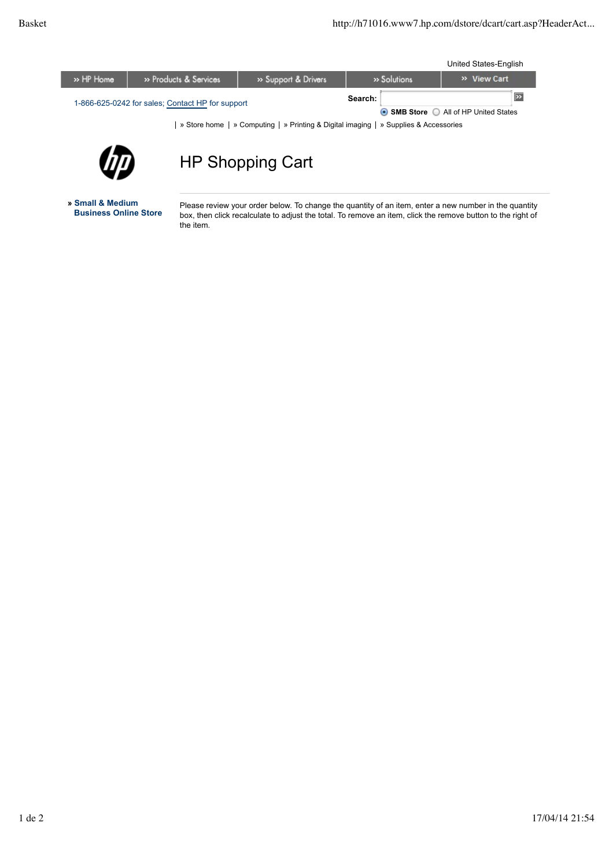ı

United States-English

| » HP Home                                        | » Products & Services | >> Support & Drivers | » Solutions |  | » View Cart                                  |  |
|--------------------------------------------------|-----------------------|----------------------|-------------|--|----------------------------------------------|--|
| 1-866-625-0242 for sales; Contact HP for support |                       |                      | Search:     |  |                                              |  |
|                                                  |                       |                      |             |  | <b>● SMB Store</b> ● All of HP United States |  |

| » Store home | » Computing | » Printing & Digital imaging | » Supplies & Accessories



## HP Shopping Cart

**» Small & Medium**

Please review your order below. To change the quantity of an item, enter a new number in the quantity box, then click recalculate to adjust the total. To remove an item, click the remove button to the right of the item.